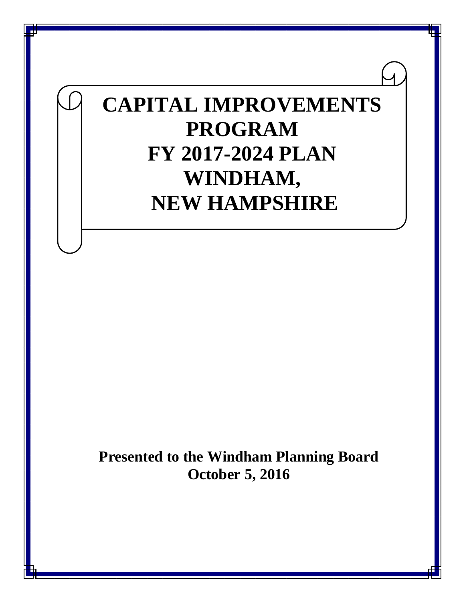# **CAPITAL IMPROVEMENTS PROGRAM FY 2017-2024 PLAN WINDHAM, NEW HAMPSHIRE**

**Presented to the Windham Planning Board October 5, 2016**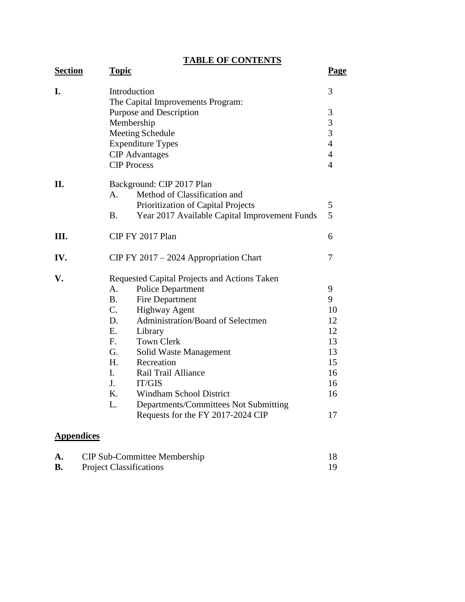# **TABLE OF CONTENTS**

| <b>Section</b>    | <b>Topic</b>                                               | <b>Page</b>    |
|-------------------|------------------------------------------------------------|----------------|
| I.                | Introduction                                               | 3              |
|                   | The Capital Improvements Program:                          |                |
|                   | Purpose and Description                                    | 3              |
|                   | Membership                                                 | 3              |
|                   | <b>Meeting Schedule</b>                                    | 3              |
|                   | <b>Expenditure Types</b>                                   | $\overline{4}$ |
|                   | <b>CIP</b> Advantages                                      | $\overline{4}$ |
|                   | <b>CIP Process</b>                                         | $\overline{4}$ |
| II.               | Background: CIP 2017 Plan                                  |                |
|                   | Method of Classification and<br>A <sub>1</sub>             |                |
|                   | Prioritization of Capital Projects                         | 5              |
|                   | <b>B.</b><br>Year 2017 Available Capital Improvement Funds | 5              |
| III.              | CIP FY 2017 Plan                                           | 6              |
|                   |                                                            |                |
| IV.               | $CIP FY 2017 - 2024$ Appropriation Chart                   | 7              |
| V.                | Requested Capital Projects and Actions Taken               |                |
|                   | <b>Police Department</b><br>A.                             | 9              |
|                   | <b>B.</b><br>Fire Department                               | 9              |
|                   | $C_{\cdot}$<br><b>Highway Agent</b>                        | 10             |
|                   | Administration/Board of Selectmen<br>D.                    | 12             |
|                   | E.<br>Library                                              | 12             |
|                   | $F_{\cdot}$<br><b>Town Clerk</b>                           | 13             |
|                   | G.<br>Solid Waste Management                               | 13             |
|                   | H.<br>Recreation                                           | 15             |
|                   | I.<br>Rail Trail Alliance                                  | 16             |
|                   | J.<br>IT/GIS                                               | 16             |
|                   | K.<br><b>Windham School District</b>                       | 16             |
|                   | L.<br>Departments/Committees Not Submitting                |                |
|                   | Requests for the FY 2017-2024 CIP                          | 17             |
| <b>Appendices</b> |                                                            |                |

| A. | <b>CIP Sub-Committee Membership</b> |  |
|----|-------------------------------------|--|
| В. | <b>Project Classifications</b>      |  |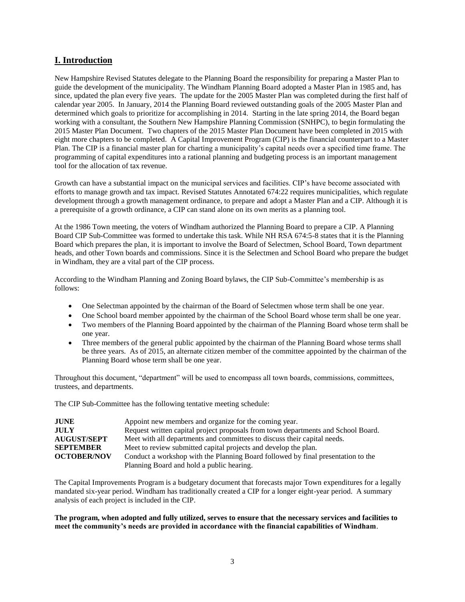# **I. Introduction**

New Hampshire Revised Statutes delegate to the Planning Board the responsibility for preparing a Master Plan to guide the development of the municipality. The Windham Planning Board adopted a Master Plan in 1985 and, has since, updated the plan every five years. The update for the 2005 Master Plan was completed during the first half of calendar year 2005. In January, 2014 the Planning Board reviewed outstanding goals of the 2005 Master Plan and determined which goals to prioritize for accomplishing in 2014. Starting in the late spring 2014, the Board began working with a consultant, the Southern New Hampshire Planning Commission (SNHPC), to begin formulating the 2015 Master Plan Document. Two chapters of the 2015 Master Plan Document have been completed in 2015 with eight more chapters to be completed. A Capital Improvement Program (CIP) is the financial counterpart to a Master Plan. The CIP is a financial master plan for charting a municipality's capital needs over a specified time frame. The programming of capital expenditures into a rational planning and budgeting process is an important management tool for the allocation of tax revenue.

Growth can have a substantial impact on the municipal services and facilities. CIP's have become associated with efforts to manage growth and tax impact. Revised Statutes Annotated 674:22 requires municipalities, which regulate development through a growth management ordinance, to prepare and adopt a Master Plan and a CIP. Although it is a prerequisite of a growth ordinance, a CIP can stand alone on its own merits as a planning tool.

At the 1986 Town meeting, the voters of Windham authorized the Planning Board to prepare a CIP. A Planning Board CIP Sub-Committee was formed to undertake this task. While NH RSA 674:5-8 states that it is the Planning Board which prepares the plan, it is important to involve the Board of Selectmen, School Board, Town department heads, and other Town boards and commissions. Since it is the Selectmen and School Board who prepare the budget in Windham, they are a vital part of the CIP process.

According to the Windham Planning and Zoning Board bylaws, the CIP Sub-Committee's membership is as follows:

- One Selectman appointed by the chairman of the Board of Selectmen whose term shall be one year.
- One School board member appointed by the chairman of the School Board whose term shall be one year.
- Two members of the Planning Board appointed by the chairman of the Planning Board whose term shall be one year.
- Three members of the general public appointed by the chairman of the Planning Board whose terms shall be three years. As of 2015, an alternate citizen member of the committee appointed by the chairman of the Planning Board whose term shall be one year.

Throughout this document, "department" will be used to encompass all town boards, commissions, committees, trustees, and departments.

The CIP Sub-Committee has the following tentative meeting schedule:

| <b>JUNE</b>        | Appoint new members and organize for the coming year.                             |
|--------------------|-----------------------------------------------------------------------------------|
| <b>JULY</b>        | Request written capital project proposals from town departments and School Board. |
| <b>AUGUST/SEPT</b> | Meet with all departments and committees to discuss their capital needs.          |
| <b>SEPTEMBER</b>   | Meet to review submitted capital projects and develop the plan.                   |
| <b>OCTOBER/NOV</b> | Conduct a workshop with the Planning Board followed by final presentation to the  |
|                    | Planning Board and hold a public hearing.                                         |

The Capital Improvements Program is a budgetary document that forecasts major Town expenditures for a legally mandated six-year period. Windham has traditionally created a CIP for a longer eight-year period. A summary analysis of each project is included in the CIP.

#### **The program, when adopted and fully utilized, serves to ensure that the necessary services and facilities to meet the community's needs are provided in accordance with the financial capabilities of Windham**.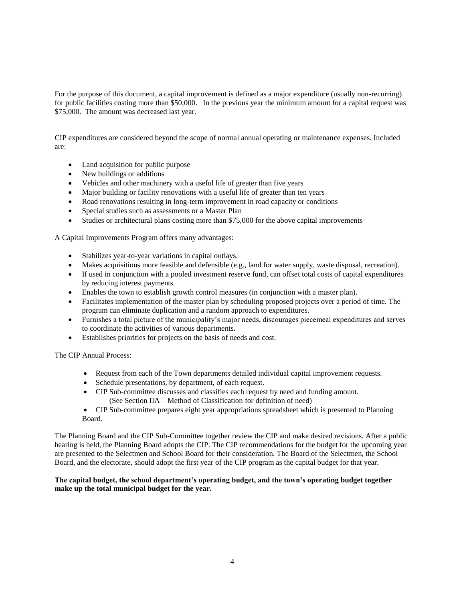For the purpose of this document, a capital improvement is defined as a major expenditure (usually non-recurring) for public facilities costing more than \$50,000. In the previous year the minimum amount for a capital request was \$75,000. The amount was decreased last year.

CIP expenditures are considered beyond the scope of normal annual operating or maintenance expenses. Included are:

- Land acquisition for public purpose
- New buildings or additions
- Vehicles and other machinery with a useful life of greater than five years
- Major building or facility renovations with a useful life of greater than ten years
- Road renovations resulting in long-term improvement in road capacity or conditions
- Special studies such as assessments or a Master Plan
- Studies or architectural plans costing more than \$75,000 for the above capital improvements

A Capital Improvements Program offers many advantages:

- Stabilizes year-to-year variations in capital outlays.
- Makes acquisitions more feasible and defensible (e.g., land for water supply, waste disposal, recreation).
- If used in conjunction with a pooled investment reserve fund, can offset total costs of capital expenditures by reducing interest payments.
- Enables the town to establish growth control measures (in conjunction with a master plan).
- Facilitates implementation of the master plan by scheduling proposed projects over a period of time. The program can eliminate duplication and a random approach to expenditures.
- Furnishes a total picture of the municipality's major needs, discourages piecemeal expenditures and serves to coordinate the activities of various departments.
- Establishes priorities for projects on the basis of needs and cost.

The CIP Annual Process:

- Request from each of the Town departments detailed individual capital improvement requests.
- Schedule presentations, by department, of each request.
- CIP Sub-committee discusses and classifies each request by need and funding amount. (See Section IIA – Method of Classification for definition of need)
- CIP Sub-committee prepares eight year appropriations spreadsheet which is presented to Planning Board.

The Planning Board and the CIP Sub-Committee together review the CIP and make desired revisions. After a public hearing is held, the Planning Board adopts the CIP. The CIP recommendations for the budget for the upcoming year are presented to the Selectmen and School Board for their consideration. The Board of the Selectmen, the School Board, and the electorate, should adopt the first year of the CIP program as the capital budget for that year.

**The capital budget, the school department's operating budget, and the town's operating budget together make up the total municipal budget for the year.**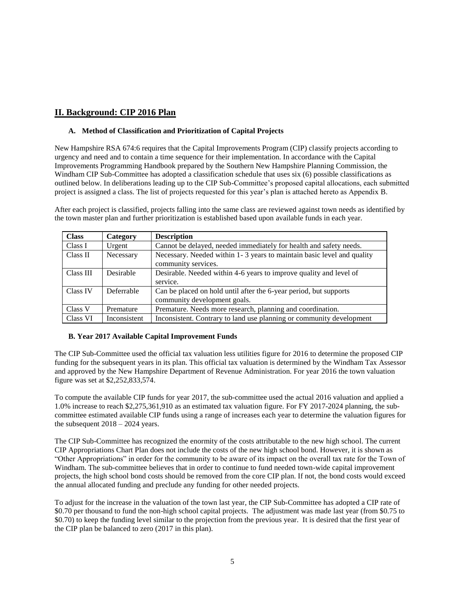# **II. Background: CIP 2016 Plan**

#### **A. Method of Classification and Prioritization of Capital Projects**

New Hampshire RSA 674:6 requires that the Capital Improvements Program (CIP) classify projects according to urgency and need and to contain a time sequence for their implementation. In accordance with the Capital Improvements Programming Handbook prepared by the Southern New Hampshire Planning Commission, the Windham CIP Sub-Committee has adopted a classification schedule that uses six (6) possible classifications as outlined below. In deliberations leading up to the CIP Sub-Committee's proposed capital allocations, each submitted project is assigned a class. The list of projects requested for this year's plan is attached hereto as Appendix B.

After each project is classified, projects falling into the same class are reviewed against town needs as identified by the town master plan and further prioritization is established based upon available funds in each year.

| <b>Class</b> | Category     | <b>Description</b>                                                     |
|--------------|--------------|------------------------------------------------------------------------|
| Class I      | Urgent       | Cannot be delayed, needed immediately for health and safety needs.     |
| Class II     | Necessary    | Necessary. Needed within 1-3 years to maintain basic level and quality |
|              |              | community services.                                                    |
| Class III    | Desirable    | Desirable. Needed within 4-6 years to improve quality and level of     |
|              |              | service.                                                               |
| Class IV     | Deferrable   | Can be placed on hold until after the 6-year period, but supports      |
|              |              | community development goals.                                           |
| Class V      | Premature    | Premature. Needs more research, planning and coordination.             |
| Class VI     | Inconsistent | Inconsistent. Contrary to land use planning or community development   |

#### **B. Year 2017 Available Capital Improvement Funds**

The CIP Sub-Committee used the official tax valuation less utilities figure for 2016 to determine the proposed CIP funding for the subsequent years in its plan. This official tax valuation is determined by the Windham Tax Assessor and approved by the New Hampshire Department of Revenue Administration. For year 2016 the town valuation figure was set at \$2,252,833,574.

To compute the available CIP funds for year 2017, the sub-committee used the actual 2016 valuation and applied a 1.0% increase to reach \$2,275,361,910 as an estimated tax valuation figure. For FY 2017-2024 planning, the subcommittee estimated available CIP funds using a range of increases each year to determine the valuation figures for the subsequent  $2018 - 2024$  years.

The CIP Sub-Committee has recognized the enormity of the costs attributable to the new high school. The current CIP Appropriations Chart Plan does not include the costs of the new high school bond. However, it is shown as "Other Appropriations" in order for the community to be aware of its impact on the overall tax rate for the Town of Windham. The sub-committee believes that in order to continue to fund needed town-wide capital improvement projects, the high school bond costs should be removed from the core CIP plan. If not, the bond costs would exceed the annual allocated funding and preclude any funding for other needed projects.

To adjust for the increase in the valuation of the town last year, the CIP Sub-Committee has adopted a CIP rate of \$0.70 per thousand to fund the non-high school capital projects. The adjustment was made last year (from \$0.75 to \$0.70) to keep the funding level similar to the projection from the previous year. It is desired that the first year of the CIP plan be balanced to zero (2017 in this plan).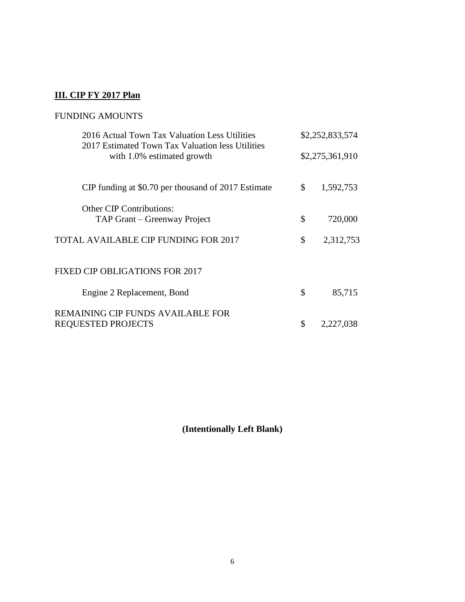# **III. CIP FY 2017 Plan**

# FUNDING AMOUNTS

| 2016 Actual Town Tax Valuation Less Utilities<br>2017 Estimated Town Tax Valuation less Utilities | \$2,252,833,574 |                 |  |  |  |  |
|---------------------------------------------------------------------------------------------------|-----------------|-----------------|--|--|--|--|
| with 1.0% estimated growth                                                                        |                 | \$2,275,361,910 |  |  |  |  |
| CIP funding at \$0.70 per thousand of 2017 Estimate                                               | \$              | 1,592,753       |  |  |  |  |
| <b>Other CIP Contributions:</b>                                                                   |                 |                 |  |  |  |  |
| TAP Grant – Greenway Project                                                                      | \$              | 720,000         |  |  |  |  |
| TOTAL AVAILABLE CIP FUNDING FOR 2017                                                              | \$              | 2,312,753       |  |  |  |  |
|                                                                                                   |                 |                 |  |  |  |  |
| FIXED CIP OBLIGATIONS FOR 2017                                                                    |                 |                 |  |  |  |  |
| Engine 2 Replacement, Bond                                                                        | \$              | 85,715          |  |  |  |  |
| REMAINING CIP FUNDS AVAILABLE FOR                                                                 |                 |                 |  |  |  |  |
| <b>REQUESTED PROJECTS</b>                                                                         | \$              | 2,227,038       |  |  |  |  |
|                                                                                                   |                 |                 |  |  |  |  |

**(Intentionally Left Blank)**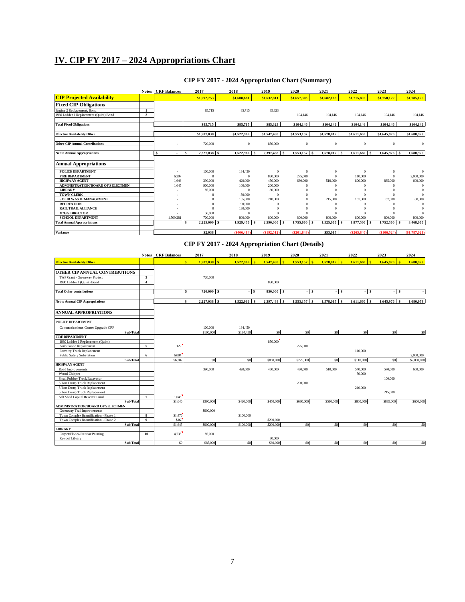# **IV. CIP FY 2017 – 2024 Appropriations Chart**

|                                        | <b>Notes</b>   | <b>CRF</b> Balances | 2017<br>2018          |                  | 2019        | 2020                     |              | 2022                        | 2023            | 2024            |
|----------------------------------------|----------------|---------------------|-----------------------|------------------|-------------|--------------------------|--------------|-----------------------------|-----------------|-----------------|
| <b>CIP Projected Availability</b>      |                |                     | \$1,592,753           | \$1,608,681      | \$1,632,811 | \$1,657,303              | \$1,682,163  | \$1,715,806                 | \$1,750,122     | \$1,785,125     |
| <b>Fixed CIP Obligations</b>           |                |                     |                       |                  |             |                          |              |                             |                 |                 |
| Engine 2 Replacement, Bond             |                |                     | 85,715                | 85.715           | 85.323      |                          |              |                             |                 |                 |
| 1980 Ladder 1 Replacement (Quint) Bond | $\overline{2}$ |                     |                       |                  |             | 104.146                  | 104,146      | 104.146                     | 104.146         | 104.146         |
| <b>Total Fixed Obligations</b>         |                |                     | \$85,715              | \$85,715         | \$85,323    | \$104,146                | \$104,146    | \$104,146                   | \$104,146       | \$104,146       |
| <b>Effective Availability Other</b>    |                |                     | \$1,507,038           | \$1,522,966      | \$1,547,488 | \$1,553,157              | \$1,578,017  | \$1,611,660                 | \$1,645,976     | \$1,680,979     |
| <b>Other CIP Annual Contributions</b>  |                |                     | 720,000               | $\mathbf{0}$     | 850,000     | $\mathbf{0}$             | $\theta$     | $\theta$                    | $\mathbf{0}$    | $\mathbf{0}$    |
| <b>Net to Annual Appropriations</b>    |                | Ŝ.                  | $2,227,038$ \$<br>-S. | 1,522,966 \$     | 2,397,488   | 1,553,157 \$<br><b>S</b> | 1,578,017 \$ | 1,611,660<br>$\mathsf{I}$ s | $1.645.976$ \$  | 1,680,979       |
| <b>Annual Appropriations</b>           |                |                     |                       |                  |             |                          |              |                             |                 |                 |
| <b>POLICE DEPARTMENT</b>               |                |                     | 100,000               | 184,450          | $\theta$    | $\mathbf{0}$             | $\Omega$     | $\Omega$                    | $\Omega$        | $\Omega$        |
| <b>FIRE DEPARTMENT</b>                 |                | 6,207               | $\Omega$              | $\Omega$         | 850,000     | 275,000                  | $\Omega$     | 110,000                     |                 | 2,000,000       |
| <b>HIGHWAY AGENT</b>                   |                | 1,646               | 390,000               | 420,000          | 450,000     | 680,000                  | 510,000      | 800,000                     | 885,000         | 600,000         |
| ADMINISTRATION/BOARD OF SELECTMEN      |                | 1,645               | 900,000               | 100,000          | 200,000     |                          |              |                             |                 |                 |
| <b>LIBRARY</b>                         |                |                     | 85,000                |                  | 80,000      |                          |              |                             |                 |                 |
| <b>TOWN CLERK</b>                      |                |                     |                       | 50,000           | $\Omega$    |                          | $\Omega$     |                             |                 |                 |
| <b>SOLID WASTEMANAGEMENT</b>           |                |                     |                       | 155,000          | 210,000     |                          | 215,000      | 167,500                     | 67.500          | 68,000          |
| <b>RECREATION</b>                      |                |                     |                       | 90,000           |             |                          |              |                             |                 |                 |
| <b>RAIL TRAIL ALLIANCE</b>             |                |                     |                       | 130,000          |             |                          |              |                             |                 |                 |
| <b>IT/GIS DIRECTOR</b>                 |                |                     | 50,000                |                  |             |                          |              |                             |                 |                 |
| <b>SCHOOL DEPARTMENT</b>               |                | 1,509,281           | 700,000               | 800,000          | 800,000     | 800,000                  | 800,000      | 800,000                     | 800,000         | 800,000         |
| <b>Total Annual Appropriations</b>     |                |                     | Ś<br>2.225,000        | 1.929.450<br>l s | 2.590,000   | 1.755.000<br>- 1         | 1.525.000 \$ | 1.877.500<br>$\mathbf{s}$   | 1.752.500<br>×. | 3.468,000       |
|                                        |                |                     |                       |                  |             |                          |              |                             |                 |                 |
| Variance                               |                |                     | \$2,038               | (\$406,484)      | (\$192,512) | $(\$201,843)$            | \$53,017     | (\$265,840"                 | (S106, 524)     | $(\$1,787,021)$ |

# **CIP FY 2017 - 2024 Appropriation Chart (Summary)**

## **CIP FY 2017 - 2024 Appropriation Chart (Details)**

|                                          |                                                    | <b>Notes CRF</b> Balances | 2017                   | 2018           | 2019         | 2020      | 2021                                  | 2022                             | 2023            | 2024           |
|------------------------------------------|----------------------------------------------------|---------------------------|------------------------|----------------|--------------|-----------|---------------------------------------|----------------------------------|-----------------|----------------|
| <b>Effective Availability Other</b>      |                                                    |                           | $1.507.038$ \ \$<br>s. | 1.522.966<br>素 | 1.547,488    | 1.553.157 | $\mathbf{S}$<br>1.578.017<br><b>S</b> | $\ddot{\textbf{s}}$<br>1,611,660 | s<br>1,645,976  | 1,680,979      |
| OTHER CIP ANNUAL CONTRIBUTIONS           |                                                    |                           |                        |                |              |           |                                       |                                  |                 |                |
|                                          |                                                    |                           |                        |                |              |           |                                       |                                  |                 |                |
| TAP Grant - Greenway Project             | $\overline{\mathbf{3}}$<br>$\overline{\mathbf{4}}$ |                           | 720,000                |                | 850,000      |           |                                       |                                  |                 |                |
| 1980 Ladder 1 (Quint) Bond               |                                                    |                           |                        |                |              |           |                                       |                                  |                 |                |
| <b>Total Other contributions</b>         |                                                    |                           | s<br>$720,000$ \$      | $-1s$          | 850,000 \$   |           | $-$ \$<br>l \$                        | -S                               | -S<br>٠         |                |
| <b>Net to Annual CIP Appropriations</b>  |                                                    |                           | \$.<br>$2,227,038$ \$  | 1,522,966 \$   | 2,397,488 \$ | 1,553,157 | 1,578,017 \$<br>l \$                  | $1,611,660$ \$                   | 1,645,976<br>-S | 1,680,979      |
|                                          |                                                    |                           |                        |                |              |           |                                       |                                  |                 |                |
| <b>ANNUAL APPROPRIATIONS</b>             |                                                    |                           |                        |                |              |           |                                       |                                  |                 |                |
| <b>POLICE DEPARTMENT</b>                 |                                                    |                           |                        |                |              |           |                                       |                                  |                 |                |
| Communications Center Upgrade CRF        |                                                    |                           | 100,000                | 184,450        |              |           |                                       |                                  |                 |                |
| Sub-Total                                |                                                    |                           | \$100,000              | \$184,450      | sol          | \$0       | \$0                                   | \$0                              | \$0             | \$0            |
| <b>FIREDEPARTMENT</b>                    |                                                    |                           |                        |                |              |           |                                       |                                  |                 |                |
| 1980 Ladder 1 Replacement (Quint)        |                                                    |                           |                        |                | 850,000      |           |                                       |                                  |                 |                |
| Ambulance Replacement                    | 5                                                  | 122                       |                        |                |              | 275,000   |                                       |                                  |                 |                |
| <b>Forestry Truck Replacement</b>        |                                                    |                           |                        |                |              |           |                                       | 110,000                          |                 |                |
| Public Safety Substation                 | 6                                                  | 6.084                     |                        |                |              |           |                                       |                                  |                 | 2,000,000      |
| Sub-Total                                |                                                    | \$6,207                   | \$0                    | \$0            | \$850,000    | \$275,000 | \$0                                   | \$110,000                        | \$0             | \$2,000,000    |
| <b>HIGHWAY AGENT</b>                     |                                                    |                           |                        |                |              |           |                                       |                                  |                 |                |
| Road Improvements                        |                                                    |                           | 390,000                | 420,000        | 450,000      | 480,000   | 510,000                               | 540,000                          | 570,000         | 600,000        |
| Wood Chipper                             |                                                    |                           |                        |                |              |           |                                       | 50,000                           |                 |                |
| Small Rubber Track Excavator             |                                                    |                           |                        |                |              |           |                                       |                                  | 100,000         |                |
| 5 Ton Dump Truck Replacement             |                                                    |                           |                        |                |              | 200,000   |                                       |                                  |                 |                |
| 5 Ton Dump Truck Replacement             |                                                    |                           |                        |                |              |           |                                       | 210,000                          |                 |                |
| 5 Ton Dump Truck Replacement             |                                                    |                           |                        |                |              |           |                                       |                                  | 215,000         |                |
| Salt Shed Capital Reserve Fund           | $\overline{7}$                                     | 1,646                     |                        |                |              |           |                                       |                                  |                 |                |
| Sub-Total                                |                                                    | \$1,646                   | \$390,000              | \$420,000      | \$450,000    | \$680,000 | \$510,000                             | \$800,000                        | \$885,000       | \$600,000      |
| <b>ADMINISTRATION/BOARD OF SELECTMEN</b> |                                                    |                           |                        |                |              |           |                                       |                                  |                 |                |
| Greenway Trail Improvements              |                                                    |                           | \$900,000              |                |              |           |                                       |                                  |                 |                |
| Town Complex Beautification - Phase 1    | 8                                                  | \$1,476                   |                        | \$100,000      |              |           |                                       |                                  |                 |                |
| Town Complex Beautification - Phase 2    | $\mathbf{o}$                                       | \$169                     |                        |                | \$200,000    |           |                                       |                                  |                 |                |
| Sub-Total                                |                                                    | \$1,645                   | \$900,000              | \$100,000      | \$200,000    | \$0       | \$0                                   | \$0                              | S <sub>0</sub>  | S <sub>0</sub> |
| <b>JBRARY</b>                            |                                                    |                           |                        |                |              |           |                                       |                                  |                 |                |
| Carpet/Floors/Exterior Painting          | 10                                                 | 4,735                     | 85,000                 |                |              |           |                                       |                                  |                 |                |
| Re-roof Library                          |                                                    |                           |                        |                | 80,000       |           |                                       |                                  |                 |                |
| Sub-Total                                |                                                    | \$0                       | \$85,000               | \$0            | \$80,000     | \$0       | \$0                                   | \$0                              | \$0             | \$0            |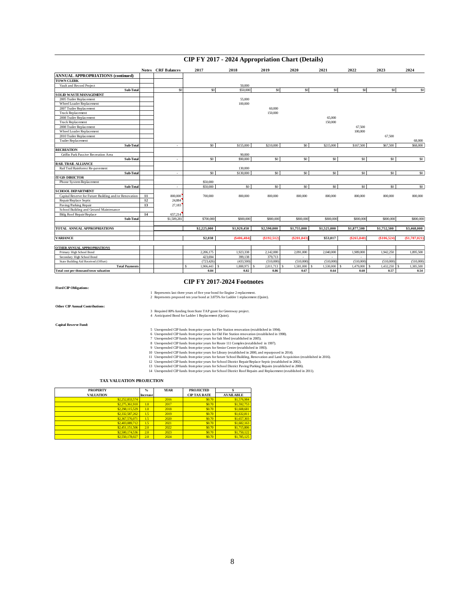# **CIP FY 2017 - 2024 Appropriation Chart (Details)**

|                                                       |    | <b>Notes CRF</b> Balances | 2017            | 2018                            | 2019        | 2020                     | 2021                     | 2022            | 2023            | 2024          |  |  |
|-------------------------------------------------------|----|---------------------------|-----------------|---------------------------------|-------------|--------------------------|--------------------------|-----------------|-----------------|---------------|--|--|
| <b>ANNUAL APPROPRIATIONS (continued)</b>              |    |                           |                 |                                 |             |                          |                          |                 |                 |               |  |  |
| <b>TOWN CLERK</b>                                     |    |                           |                 |                                 |             |                          |                          |                 |                 |               |  |  |
| Vault and Record Project                              |    |                           |                 | 50,000                          |             |                          |                          |                 |                 |               |  |  |
| Sub-Total                                             |    | \$0                       | S <sub>0</sub>  | \$50,000                        | \$0         | \$0                      | \$0                      | \$0             | \$0             | \$0           |  |  |
| SOLID WASTEMANAGEMENT                                 |    |                           |                 |                                 |             |                          |                          |                 |                 |               |  |  |
| 2005 Trailer Replacement                              |    |                           |                 | 55,000                          |             |                          |                          |                 |                 |               |  |  |
| Wheel Loader Replacement                              |    |                           |                 | 100,000                         |             |                          |                          |                 |                 |               |  |  |
| 2007 Trailer Replacement                              |    |                           |                 |                                 | 60,000      |                          |                          |                 |                 |               |  |  |
| Truck Replacement                                     |    |                           |                 |                                 | 150,000     |                          |                          |                 |                 |               |  |  |
| 2008 Trailer Replacement                              |    |                           |                 |                                 |             |                          | 65,000                   |                 |                 |               |  |  |
| <b>Truck Replacement</b>                              |    |                           |                 |                                 |             |                          | 150,000                  |                 |                 |               |  |  |
| 2008 Trailer Replacement                              |    |                           |                 |                                 |             |                          |                          | 67.500          |                 |               |  |  |
| Wheel Loader Replacement                              |    |                           |                 |                                 |             |                          |                          | 100,000         |                 |               |  |  |
| 2010 Trailer Replacement                              |    |                           |                 |                                 |             |                          |                          |                 | 67.500          |               |  |  |
| Trailer Replacement                                   |    |                           |                 |                                 |             |                          |                          |                 |                 | 68,000        |  |  |
| Sub-Total                                             |    | ٠                         | $\sqrt{50}$     | \$155,000                       | \$210,000   | S <sub>0</sub>           | \$215,000                | \$167,500       | \$67,500        | \$68,000      |  |  |
| <b>RECREATION</b>                                     |    |                           |                 |                                 |             |                          |                          |                 |                 |               |  |  |
| Griffin Park Passive Recreation Area                  |    |                           |                 | 90,000                          |             |                          |                          |                 |                 |               |  |  |
| Sub-Total                                             |    | ٠                         | $\overline{50}$ | \$90,000                        | \$0         | $\overline{50}$          | $\overline{50}$          | $\overline{50}$ | $\overline{50}$ | \$0           |  |  |
| RAIL TRAIL ALLIANCE                                   |    |                           |                 |                                 |             |                          |                          |                 |                 |               |  |  |
| Rail Trail Rainforest Re-pavement                     |    |                           |                 | 130,000                         |             |                          |                          |                 |                 |               |  |  |
| Sub-Total                                             |    | $\mathbf{r}$              | \$0             | \$130,000                       | \$0         | $\$0$                    | \$0                      | \$0             | \$0             | \$0           |  |  |
| <b>IT/GIS DIRECTOR</b>                                |    |                           |                 |                                 |             |                          |                          |                 |                 |               |  |  |
| Phone System Replacement                              |    |                           | \$50,000        |                                 |             |                          |                          |                 |                 |               |  |  |
| Sub-Total                                             |    | ٠                         | \$50,000        | \$0                             | \$0         | \$0                      | \$0                      | S <sub>0</sub>  | \$0             | \$0           |  |  |
| <b>SCHOOL DEPARTMENT</b>                              |    |                           |                 |                                 |             |                          |                          |                 |                 |               |  |  |
| Capital Reserve for Future Building and/or Renovation | 11 | 800,000                   | 700,000         | 800,000                         | 800,000     | 800,000                  | 800,000                  | 800,000         | 800,000         | 800,000       |  |  |
| Repair/Replace Septic                                 | 12 | 24,884                    |                 |                                 |             |                          |                          |                 |                 |               |  |  |
| Paving/Parking Repair                                 | 13 | 27,183                    |                 |                                 |             |                          |                          |                 |                 |               |  |  |
| School Building and Ground Maintenance                |    |                           |                 |                                 |             |                          |                          |                 |                 |               |  |  |
| <b>Bldg Roof Repair/Replace</b>                       | 14 | 657,214                   |                 |                                 |             |                          |                          |                 |                 |               |  |  |
| Sub-Total                                             |    | \$1,509,281               | \$700,000       | \$800,000                       | \$800,000   | \$800,000                | \$800,000                | \$800,000       | \$800,000       | \$800,000     |  |  |
| TOTAL ANNUAL APPROPRIATIONS                           |    |                           | \$2,225,000     | \$1,929,450                     | \$2,590,000 | \$1,755,000              | \$1,525,000              | \$1,877,500     | \$1,752,500     | \$3,468,000   |  |  |
|                                                       |    |                           |                 |                                 |             |                          |                          |                 |                 |               |  |  |
| <b>VARIANCE</b>                                       |    |                           | \$2,038         | (\$406,484)                     | (\$192,512  | (\$201.843)              | \$53,017                 | (\$265,840)     | \$106.52        | (\$1,787,021] |  |  |
|                                                       |    |                           |                 |                                 |             |                          |                          |                 |                 |               |  |  |
| OTHER ANNUAL APPROPRIATIONS                           |    |                           |                 |                                 |             |                          |                          |                 |                 |               |  |  |
| Primary High School Bond                              |    |                           | 2,206,175       | 1,923,338                       | 2,142,000   | 2,091,000                | 2,040,000                | 1,989,000       | 1,942,250       | 1,895,500     |  |  |
| Secondary High School Bond                            |    |                           | 423,694         | 399,138                         | 379,713     | $\overline{\phantom{a}}$ | $\overline{\phantom{a}}$ | $\sim$          |                 |               |  |  |
| State Building Aid Received (Offset)                  |    |                           | (723, 426)      | (433,500)                       | (510,000)   | (510,000)                | (510,000)                | (510,000)       | (510,000)       | (510,000)     |  |  |
| <b>Total Payments</b>                                 |    |                           | s<br>.906.443   | 1,888,975<br>$\hat{\mathbf{x}}$ | 2,011,713   | 1.581.000                | 1,530,000                | 1.479.000       | 1,432,250       | 1,385,500     |  |  |
| Total cost per thousand town valuation                |    |                           | 0.84            | 0.82                            | 0.86        | 0.67                     | 0.64                     | 0.60            | 0.57            | 0.54          |  |  |
|                                                       |    |                           |                 |                                 |             |                          |                          |                 |                 |               |  |  |

#### **CIP FY 2017-2024 Footnotes**

#### **Fixed CIP Obligations:**

#### 1 Represents last three years of five year bond for Engine 2 replacement. 2 Represents proposed ten year bond at 3.875% for Ladder 1 replacement (Quint).

**Other CIP Annual Contributions:**

3 Required 80% funding from State TAP grant for Greenway project. 4 Anticipated Bond for Ladder 1 Replacement (Quint).

**Capital Reserve Fund:**

5 Unepended CIP funds from prior years for Fire Station renovation (established in 1994).<br>
6 Unexpended CIP funds from prior years for Odd Fire Station renovation (established in 1995).<br>
7 Unexpended CIP funds from prior

#### **TAX VALUATION PROJECTION**

| <b>PROPERTY</b>  | $\frac{0}{2}$ | <b>YEAR</b> | <b>PROJECTED</b>    |                  |
|------------------|---------------|-------------|---------------------|------------------|
| <b>VALUATION</b> | Increase      |             | <b>CIP TAX RATE</b> | <b>AVAILABLE</b> |
| \$2,252,833,574  |               | 2016        | S <sub>0.70</sub>   | \$1,576,984      |
| \$2,275,361,910  | 1.0           | 2017        | S <sub>0.70</sub>   | \$1,592,753      |
| \$2,298,115,529  | 1.0           | 2018        | S <sub>0.70</sub>   | \$1,608,681      |
| \$2,332,587,262  | 1.5           | 2019        | S <sub>0.70</sub>   | \$1,632,811      |
| \$2,367,576,071  | 1.5           | 2020        | S <sub>0.70</sub>   | \$1,657,303      |
| \$2,403,089,712  | 1.5           | 2021        | <b>SO.70</b>        | \$1,682,163      |
| \$2,451,151,506  | 2.0           | 2022        | S <sub>0.70</sub>   | \$1,715,806      |
| \$2,500,174,536  | 2.0           | 2023        | S <sub>0.70</sub>   | \$1,750,122      |
| \$2,550,178,027  | 2.0           | 2024        | S <sub>0.70</sub>   | \$1,785,125      |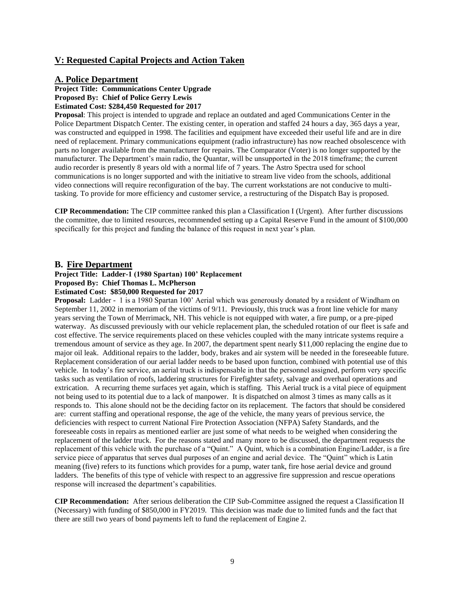# **V: Requested Capital Projects and Action Taken**

## **A. Police Department**

**Project Title: Communications Center Upgrade Proposed By: Chief of Police Gerry Lewis Estimated Cost: \$284,450 Requested for 2017** 

**Proposal**: This project is intended to upgrade and replace an outdated and aged Communications Center in the Police Department Dispatch Center. The existing center, in operation and staffed 24 hours a day, 365 days a year, was constructed and equipped in 1998. The facilities and equipment have exceeded their useful life and are in dire need of replacement. Primary communications equipment (radio infrastructure) has now reached obsolescence with parts no longer available from the manufacturer for repairs. The Comparator (Voter) is no longer supported by the manufacturer. The Department's main radio, the Quantar, will be unsupported in the 2018 timeframe; the current audio recorder is presently 8 years old with a normal life of 7 years. The Astro Spectra used for school communications is no longer supported and with the initiative to stream live video from the schools, additional video connections will require reconfiguration of the bay. The current workstations are not conducive to multitasking. To provide for more efficiency and customer service, a restructuring of the Dispatch Bay is proposed.

**CIP Recommendation:** The CIP committee ranked this plan a Classification I (Urgent). After further discussions the committee, due to limited resources, recommended setting up a Capital Reserve Fund in the amount of \$100,000 specifically for this project and funding the balance of this request in next year's plan.

## **B. Fire Department**

#### **Project Title: Ladder-1 (1980 Spartan) 100' Replacement Proposed By: Chief Thomas L. McPherson Estimated Cost: \$850,000 Requested for 2017**

**Proposal:** Ladder - 1 is a 1980 Spartan 100' Aerial which was generously donated by a resident of Windham on September 11, 2002 in memoriam of the victims of 9/11. Previously, this truck was a front line vehicle for many years serving the Town of Merrimack, NH. This vehicle is not equipped with water, a fire pump, or a pre-piped waterway. As discussed previously with our vehicle replacement plan, the scheduled rotation of our fleet is safe and cost effective. The service requirements placed on these vehicles coupled with the many intricate systems require a tremendous amount of service as they age. In 2007, the department spent nearly \$11,000 replacing the engine due to major oil leak. Additional repairs to the ladder, body, brakes and air system will be needed in the foreseeable future. Replacement consideration of our aerial ladder needs to be based upon function, combined with potential use of this vehicle. In today's fire service, an aerial truck is indispensable in that the personnel assigned, perform very specific tasks such as ventilation of roofs, laddering structures for Firefighter safety, salvage and overhaul operations and extrication. A recurring theme surfaces yet again, which is staffing. This Aerial truck is a vital piece of equipment not being used to its potential due to a lack of manpower. It is dispatched on almost 3 times as many calls as it responds to. This alone should not be the deciding factor on its replacement. The factors that should be considered are: current staffing and operational response, the age of the vehicle, the many years of previous service, the deficiencies with respect to current National Fire Protection Association (NFPA) Safety Standards, and the foreseeable costs in repairs as mentioned earlier are just some of what needs to be weighed when considering the replacement of the ladder truck. For the reasons stated and many more to be discussed, the department requests the replacement of this vehicle with the purchase of a "Quint." A Quint, which is a combination Engine/Ladder, is a fire service piece of apparatus that serves dual purposes of an engine and aerial device. The "Quint" which is Latin meaning (five) refers to its functions which provides for a pump, water tank, fire hose aerial device and ground ladders. The benefits of this type of vehicle with respect to an aggressive fire suppression and rescue operations response will increased the department's capabilities.

**CIP Recommendation:** After serious deliberation the CIP Sub-Committee assigned the request a Classification II (Necessary) with funding of \$850,000 in FY2019. This decision was made due to limited funds and the fact that there are still two years of bond payments left to fund the replacement of Engine 2.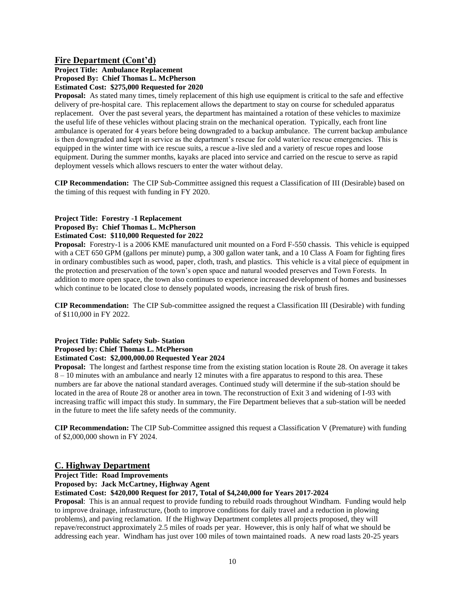# **Fire Department (Cont'd)**

## **Project Title: Ambulance Replacement Proposed By: Chief Thomas L. McPherson Estimated Cost: \$275,000 Requested for 2020**

**Proposal:** As stated many times, timely replacement of this high use equipment is critical to the safe and effective delivery of pre-hospital care. This replacement allows the department to stay on course for scheduled apparatus replacement. Over the past several years, the department has maintained a rotation of these vehicles to maximize the useful life of these vehicles without placing strain on the mechanical operation. Typically, each front line ambulance is operated for 4 years before being downgraded to a backup ambulance. The current backup ambulance is then downgraded and kept in service as the department's rescue for cold water/ice rescue emergencies. This is equipped in the winter time with ice rescue suits, a rescue a-live sled and a variety of rescue ropes and loose equipment. During the summer months, kayaks are placed into service and carried on the rescue to serve as rapid deployment vessels which allows rescuers to enter the water without delay.

**CIP Recommendation:** The CIP Sub-Committee assigned this request a Classification of III (Desirable) based on the timing of this request with funding in FY 2020.

#### **Project Title: Forestry -1 Replacement Proposed By: Chief Thomas L. McPherson Estimated Cost: \$110,000 Requested for 2022**

**Proposal:** Forestry-1 is a 2006 KME manufactured unit mounted on a Ford F-550 chassis. This vehicle is equipped with a CET 650 GPM (gallons per minute) pump, a 300 gallon water tank, and a 10 Class A Foam for fighting fires in ordinary combustibles such as wood, paper, cloth, trash, and plastics. This vehicle is a vital piece of equipment in the protection and preservation of the town's open space and natural wooded preserves and Town Forests. In addition to more open space, the town also continues to experience increased development of homes and businesses which continue to be located close to densely populated woods, increasing the risk of brush fires.

**CIP Recommendation:** The CIP Sub-committee assigned the request a Classification III (Desirable) with funding of \$110,000 in FY 2022.

#### **Project Title: Public Safety Sub- Station Proposed by: Chief Thomas L. McPherson Estimated Cost: \$2,000,000.00 Requested Year 2024**

**Proposal:** The longest and farthest response time from the existing station location is Route 28. On average it takes 8 – 10 minutes with an ambulance and nearly 12 minutes with a fire apparatus to respond to this area. These numbers are far above the national standard averages. Continued study will determine if the sub-station should be located in the area of Route 28 or another area in town. The reconstruction of Exit 3 and widening of I-93 with increasing traffic will impact this study. In summary, the Fire Department believes that a sub-station will be needed in the future to meet the life safety needs of the community.

**CIP Recommendation:** The CIP Sub-Committee assigned this request a Classification V (Premature) with funding of \$2,000,000 shown in FY 2024.

# **C. Highway Department**

**Project Title: Road Improvements**

**Proposed by: Jack McCartney, Highway Agent**

#### **Estimated Cost: \$420,000 Request for 2017, Total of \$4,240,000 for Years 2017-2024**

**Proposal**: This is an annual request to provide funding to rebuild roads throughout Windham. Funding would help to improve drainage, infrastructure, (both to improve conditions for daily travel and a reduction in plowing problems), and paving reclamation. If the Highway Department completes all projects proposed, they will repave/reconstruct approximately 2.5 miles of roads per year. However, this is only half of what we should be addressing each year. Windham has just over 100 miles of town maintained roads. A new road lasts 20-25 years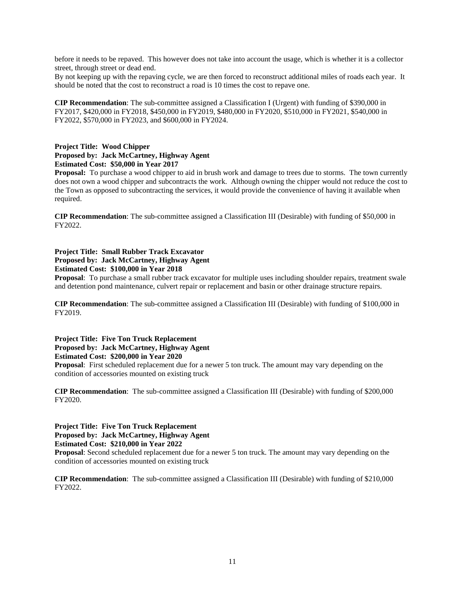before it needs to be repaved. This however does not take into account the usage, which is whether it is a collector street, through street or dead end.

By not keeping up with the repaving cycle, we are then forced to reconstruct additional miles of roads each year. It should be noted that the cost to reconstruct a road is 10 times the cost to repave one.

**CIP Recommendation**: The sub-committee assigned a Classification I (Urgent) with funding of \$390,000 in FY2017, \$420,000 in FY2018, \$450,000 in FY2019, \$480,000 in FY2020, \$510,000 in FY2021, \$540,000 in FY2022, \$570,000 in FY2023, and \$600,000 in FY2024.

#### **Project Title: Wood Chipper Proposed by: Jack McCartney, Highway Agent Estimated Cost: \$50,000 in Year 2017**

**Proposal:** To purchase a wood chipper to aid in brush work and damage to trees due to storms. The town currently does not own a wood chipper and subcontracts the work. Although owning the chipper would not reduce the cost to the Town as opposed to subcontracting the services, it would provide the convenience of having it available when required.

**CIP Recommendation**: The sub-committee assigned a Classification III (Desirable) with funding of \$50,000 in FY2022.

**Project Title: Small Rubber Track Excavator Proposed by: Jack McCartney, Highway Agent Estimated Cost: \$100,000 in Year 2018**

**Proposal**: To purchase a small rubber track excavator for multiple uses including shoulder repairs, treatment swale and detention pond maintenance, culvert repair or replacement and basin or other drainage structure repairs.

**CIP Recommendation**: The sub-committee assigned a Classification III (Desirable) with funding of \$100,000 in FY2019.

**Project Title: Five Ton Truck Replacement Proposed by: Jack McCartney, Highway Agent Estimated Cost: \$200,000 in Year 2020**

**Proposal**: First scheduled replacement due for a newer 5 ton truck. The amount may vary depending on the condition of accessories mounted on existing truck

**CIP Recommendation**: The sub-committee assigned a Classification III (Desirable) with funding of \$200,000 FY2020.

**Project Title: Five Ton Truck Replacement Proposed by: Jack McCartney, Highway Agent Estimated Cost: \$210,000 in Year 2022**

**Proposal**: Second scheduled replacement due for a newer 5 ton truck. The amount may vary depending on the condition of accessories mounted on existing truck

**CIP Recommendation**: The sub-committee assigned a Classification III (Desirable) with funding of \$210,000 FY2022.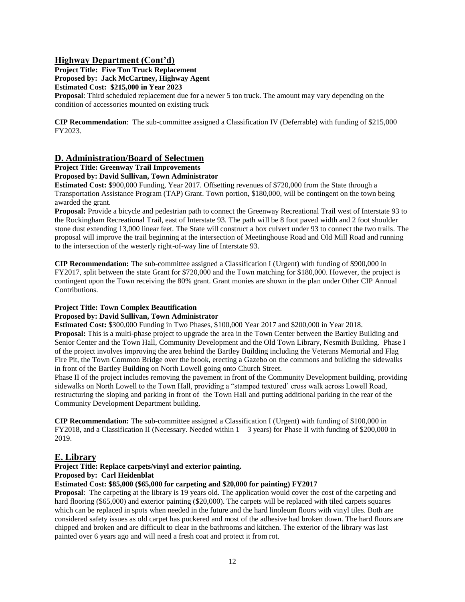# **Highway Department (Cont'd)**

**Project Title: Five Ton Truck Replacement Proposed by: Jack McCartney, Highway Agent Estimated Cost: \$215,000 in Year 2023**

**Proposal**: Third scheduled replacement due for a newer 5 ton truck. The amount may vary depending on the condition of accessories mounted on existing truck

**CIP Recommendation**: The sub-committee assigned a Classification IV (Deferrable) with funding of \$215,000 FY2023.

# **D. Administration/Board of Selectmen**

**Project Title: Greenway Trail Improvements** 

## **Proposed by: David Sullivan, Town Administrator**

**Estimated Cost:** \$900,000 Funding, Year 2017. Offsetting revenues of \$720,000 from the State through a Transportation Assistance Program (TAP) Grant. Town portion, \$180,000, will be contingent on the town being awarded the grant.

**Proposal:** Provide a bicycle and pedestrian path to connect the Greenway Recreational Trail west of Interstate 93 to the Rockingham Recreational Trail, east of Interstate 93. The path will be 8 foot paved width and 2 foot shoulder stone dust extending 13,000 linear feet. The State will construct a box culvert under 93 to connect the two trails. The proposal will improve the trail beginning at the intersection of Meetinghouse Road and Old Mill Road and running to the intersection of the westerly right-of-way line of Interstate 93.

**CIP Recommendation:** The sub-committee assigned a Classification I (Urgent) with funding of \$900,000 in FY2017, split between the state Grant for \$720,000 and the Town matching for \$180,000. However, the project is contingent upon the Town receiving the 80% grant. Grant monies are shown in the plan under Other CIP Annual Contributions.

#### **Project Title: Town Complex Beautification**

#### **Proposed by: David Sullivan, Town Administrator**

**Estimated Cost:** \$300,000 Funding in Two Phases, \$100,000 Year 2017 and \$200,000 in Year 2018. **Proposal:** This is a multi-phase project to upgrade the area in the Town Center between the Bartley Building and Senior Center and the Town Hall, Community Development and the Old Town Library, Nesmith Building. Phase I of the project involves improving the area behind the Bartley Building including the Veterans Memorial and Flag Fire Pit, the Town Common Bridge over the brook, erecting a Gazebo on the commons and building the sidewalks in front of the Bartley Building on North Lowell going onto Church Street.

Phase II of the project includes removing the pavement in front of the Community Development building, providing sidewalks on North Lowell to the Town Hall, providing a "stamped textured' cross walk across Lowell Road, restructuring the sloping and parking in front of the Town Hall and putting additional parking in the rear of the Community Development Department building.

**CIP Recommendation:** The sub-committee assigned a Classification I (Urgent) with funding of \$100,000 in FY2018, and a Classification II (Necessary. Needed within  $1 - 3$  years) for Phase II with funding of \$200,000 in 2019.

# **E. Library**

# **Project Title: Replace carpets/vinyl and exterior painting.**

**Proposed by: Carl Heidenblat**

#### **Estimated Cost: \$85,000 (\$65,000 for carpeting and \$20,000 for painting) FY2017**

**Proposal**: The carpeting at the library is 19 years old. The application would cover the cost of the carpeting and hard flooring (\$65,000) and exterior painting (\$20,000). The carpets will be replaced with tiled carpets squares which can be replaced in spots when needed in the future and the hard linoleum floors with vinyl tiles. Both are considered safety issues as old carpet has puckered and most of the adhesive had broken down. The hard floors are chipped and broken and are difficult to clear in the bathrooms and kitchen. The exterior of the library was last painted over 6 years ago and will need a fresh coat and protect it from rot.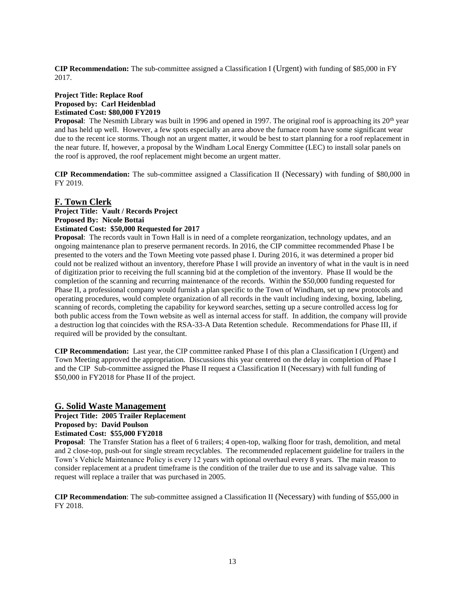**CIP Recommendation:** The sub-committee assigned a Classification I (Urgent) with funding of \$85,000 in FY 2017.

#### **Project Title: Replace Roof Proposed by: Carl Heidenblad Estimated Cost: \$80,000 FY2019**

**Proposal**: The Nesmith Library was built in 1996 and opened in 1997. The original roof is approaching its 20<sup>th</sup> year and has held up well. However, a few spots especially an area above the furnace room have some significant wear due to the recent ice storms. Though not an urgent matter, it would be best to start planning for a roof replacement in the near future. If, however, a proposal by the Windham Local Energy Committee (LEC) to install solar panels on the roof is approved, the roof replacement might become an urgent matter.

**CIP Recommendation:** The sub-committee assigned a Classification II (Necessary) with funding of \$80,000 in FY 2019.

# **F. Town Clerk**

# **Project Title: Vault / Records Project Proposed By: Nicole Bottai**

#### **Estimated Cost: \$50,000 Requested for 2017**

**Proposal**: The records vault in Town Hall is in need of a complete reorganization, technology updates, and an ongoing maintenance plan to preserve permanent records. In 2016, the CIP committee recommended Phase I be presented to the voters and the Town Meeting vote passed phase I. During 2016, it was determined a proper bid could not be realized without an inventory, therefore Phase I will provide an inventory of what in the vault is in need of digitization prior to receiving the full scanning bid at the completion of the inventory. Phase II would be the completion of the scanning and recurring maintenance of the records. Within the \$50,000 funding requested for Phase II, a professional company would furnish a plan specific to the Town of Windham, set up new protocols and operating procedures, would complete organization of all records in the vault including indexing, boxing, labeling, scanning of records, completing the capability for keyword searches, setting up a secure controlled access log for both public access from the Town website as well as internal access for staff. In addition, the company will provide a destruction log that coincides with the RSA-33-A Data Retention schedule. Recommendations for Phase III, if required will be provided by the consultant.

**CIP Recommendation:** Last year, the CIP committee ranked Phase I of this plan a Classification I (Urgent) and Town Meeting approved the appropriation. Discussions this year centered on the delay in completion of Phase I and the CIP Sub-committee assigned the Phase II request a Classification II (Necessary) with full funding of \$50,000 in FY2018 for Phase II of the project.

#### **G. Solid Waste Management**

# **Project Title: 2005 Trailer Replacement**

# **Proposed by: David Poulson**

# **Estimated Cost: \$55,000 FY2018**

**Proposal**: The Transfer Station has a fleet of 6 trailers; 4 open-top, walking floor for trash, demolition, and metal and 2 close-top, push-out for single stream recyclables. The recommended replacement guideline for trailers in the Town's Vehicle Maintenance Policy is every 12 years with optional overhaul every 8 years. The main reason to consider replacement at a prudent timeframe is the condition of the trailer due to use and its salvage value. This request will replace a trailer that was purchased in 2005.

**CIP Recommendation**: The sub-committee assigned a Classification II (Necessary) with funding of \$55,000 in FY 2018.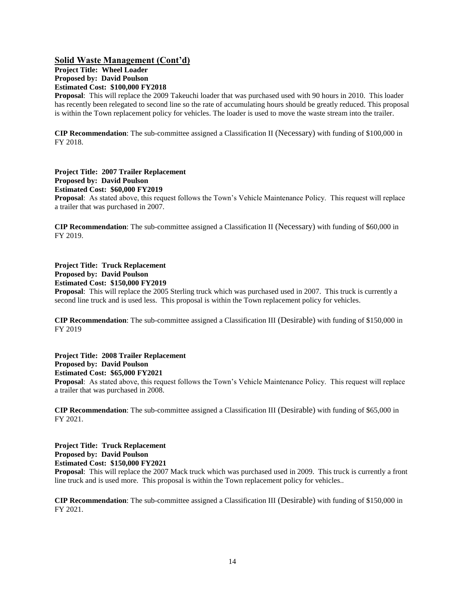# **Solid Waste Management (Cont'd)**

**Project Title: Wheel Loader Proposed by: David Poulson Estimated Cost: \$100,000 FY2018**

**Proposal**: This will replace the 2009 Takeuchi loader that was purchased used with 90 hours in 2010. This loader has recently been relegated to second line so the rate of accumulating hours should be greatly reduced. This proposal is within the Town replacement policy for vehicles. The loader is used to move the waste stream into the trailer.

**CIP Recommendation**: The sub-committee assigned a Classification II (Necessary) with funding of \$100,000 in FY 2018.

**Project Title: 2007 Trailer Replacement Proposed by: David Poulson**

**Estimated Cost: \$60,000 FY2019**

**Proposal**: As stated above, this request follows the Town's Vehicle Maintenance Policy. This request will replace a trailer that was purchased in 2007.

**CIP Recommendation**: The sub-committee assigned a Classification II (Necessary) with funding of \$60,000 in FY 2019.

## **Project Title: Truck Replacement Proposed by: David Poulson Estimated Cost: \$150,000 FY2019**

**Proposal**: This will replace the 2005 Sterling truck which was purchased used in 2007. This truck is currently a second line truck and is used less. This proposal is within the Town replacement policy for vehicles.

**CIP Recommendation**: The sub-committee assigned a Classification III (Desirable) with funding of \$150,000 in FY 2019

**Project Title: 2008 Trailer Replacement Proposed by: David Poulson Estimated Cost: \$65,000 FY2021**

**Proposal**: As stated above, this request follows the Town's Vehicle Maintenance Policy. This request will replace a trailer that was purchased in 2008.

**CIP Recommendation**: The sub-committee assigned a Classification III (Desirable) with funding of \$65,000 in FY 2021.

**Project Title: Truck Replacement Proposed by: David Poulson Estimated Cost: \$150,000 FY2021**

**Proposal**: This will replace the 2007 Mack truck which was purchased used in 2009. This truck is currently a front line truck and is used more. This proposal is within the Town replacement policy for vehicles..

**CIP Recommendation**: The sub-committee assigned a Classification III (Desirable) with funding of \$150,000 in FY 2021.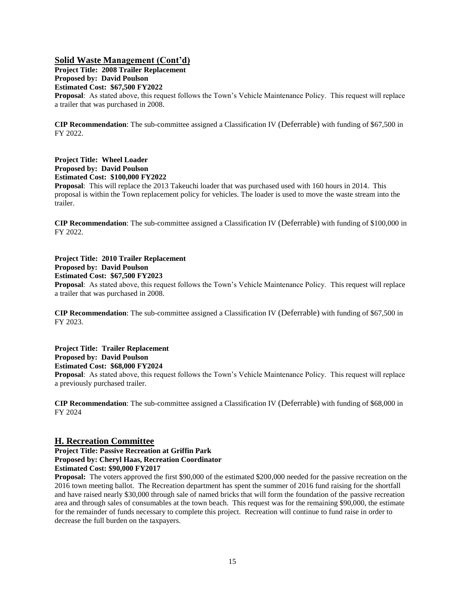## **Solid Waste Management (Cont'd)**

**Project Title: 2008 Trailer Replacement Proposed by: David Poulson Estimated Cost: \$67,500 FY2022 Proposal**: As stated above, this request follows the Town's Vehicle Maintenance Policy. This request will replace a trailer that was purchased in 2008.

**CIP Recommendation**: The sub-committee assigned a Classification IV (Deferrable) with funding of \$67,500 in FY 2022.

**Project Title: Wheel Loader Proposed by: David Poulson Estimated Cost: \$100,000 FY2022**

**Proposal**: This will replace the 2013 Takeuchi loader that was purchased used with 160 hours in 2014. This proposal is within the Town replacement policy for vehicles. The loader is used to move the waste stream into the trailer.

**CIP Recommendation**: The sub-committee assigned a Classification IV (Deferrable) with funding of \$100,000 in FY 2022.

**Project Title: 2010 Trailer Replacement Proposed by: David Poulson Estimated Cost: \$67,500 FY2023 Proposal**: As stated above, this request follows the Town's Vehicle Maintenance Policy. This request will replace a trailer that was purchased in 2008.

**CIP Recommendation**: The sub-committee assigned a Classification IV (Deferrable) with funding of \$67,500 in FY 2023.

**Project Title: Trailer Replacement Proposed by: David Poulson Estimated Cost: \$68,000 FY2024**

**Proposal**: As stated above, this request follows the Town's Vehicle Maintenance Policy. This request will replace a previously purchased trailer.

**CIP Recommendation**: The sub-committee assigned a Classification IV (Deferrable) with funding of \$68,000 in FY 2024

#### **H. Recreation Committee**

**Project Title: Passive Recreation at Griffin Park Proposed by: Cheryl Haas, Recreation Coordinator Estimated Cost: \$90,000 FY2017**

**Proposal:** The voters approved the first \$90,000 of the estimated \$200,000 needed for the passive recreation on the 2016 town meeting ballot. The Recreation department has spent the summer of 2016 fund raising for the shortfall and have raised nearly \$30,000 through sale of named bricks that will form the foundation of the passive recreation area and through sales of consumables at the town beach. This request was for the remaining \$90,000, the estimate for the remainder of funds necessary to complete this project. Recreation will continue to fund raise in order to decrease the full burden on the taxpayers.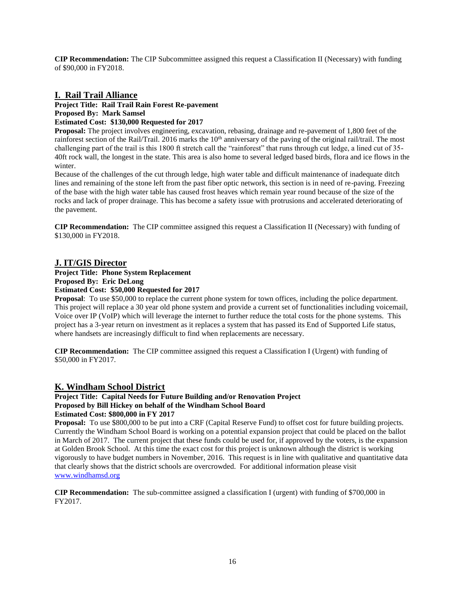**CIP Recommendation:** The CIP Subcommittee assigned this request a Classification II (Necessary) with funding of \$90,000 in FY2018.

# **I. Rail Trail Alliance**

**Project Title: Rail Trail Rain Forest Re-pavement Proposed By: Mark Samsel**

# **Estimated Cost: \$130,000 Requested for 2017**

**Proposal:** The project involves engineering, excavation, rebasing, drainage and re-pavement of 1,800 feet of the rainforest section of the Rail/Trail. 2016 marks the  $10<sup>th</sup>$  anniversary of the paving of the original rail/trail. The most challenging part of the trail is this 1800 ft stretch call the "rainforest" that runs through cut ledge, a lined cut of 35- 40ft rock wall, the longest in the state. This area is also home to several ledged based birds, flora and ice flows in the winter.

Because of the challenges of the cut through ledge, high water table and difficult maintenance of inadequate ditch lines and remaining of the stone left from the past fiber optic network, this section is in need of re-paving. Freezing of the base with the high water table has caused frost heaves which remain year round because of the size of the rocks and lack of proper drainage. This has become a safety issue with protrusions and accelerated deteriorating of the pavement.

**CIP Recommendation:** The CIP committee assigned this request a Classification II (Necessary) with funding of \$130,000 in FY2018.

## **J. IT/GIS Director**

# **Project Title: Phone System Replacement**

**Proposed By: Eric DeLong**

# **Estimated Cost: \$50,000 Requested for 2017**

**Proposal:** To use \$50,000 to replace the current phone system for town offices, including the police department. This project will replace a 30 year old phone system and provide a current set of functionalities including voicemail, Voice over IP (VoIP) which will leverage the internet to further reduce the total costs for the phone systems. This project has a 3-year return on investment as it replaces a system that has passed its End of Supported Life status, where handsets are increasingly difficult to find when replacements are necessary.

**CIP Recommendation:** The CIP committee assigned this request a Classification I (Urgent) with funding of \$50,000 in FY2017.

# **K. Windham School District**

#### **Project Title: Capital Needs for Future Building and/or Renovation Project Proposed by Bill Hickey on behalf of the Windham School Board Estimated Cost: \$800,000 in FY 2017**

**Proposal:** To use \$800,000 to be put into a CRF (Capital Reserve Fund) to offset cost for future building projects. Currently the Windham School Board is working on a potential expansion project that could be placed on the ballot in March of 2017. The current project that these funds could be used for, if approved by the voters, is the expansion at Golden Brook School. At this time the exact cost for this project is unknown although the district is working vigorously to have budget numbers in November, 2016. This request is in line with qualitative and quantitative data that clearly shows that the district schools are overcrowded. For additional information please visit [www.windhamsd.org](http://www.windhamsd.org/)

**CIP Recommendation:** The sub-committee assigned a classification I (urgent) with funding of \$700,000 in FY2017.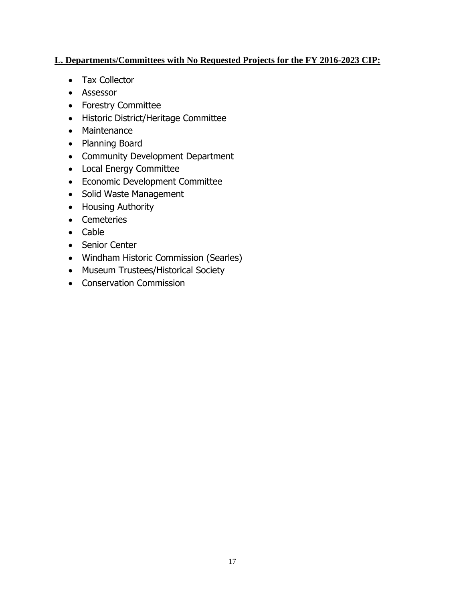# **L. Departments/Committees with No Requested Projects for the FY 2016-2023 CIP:**

- Tax Collector
- Assessor
- Forestry Committee
- Historic District/Heritage Committee
- Maintenance
- Planning Board
- Community Development Department
- Local Energy Committee
- Economic Development Committee
- Solid Waste Management
- Housing Authority
- Cemeteries
- Cable
- Senior Center
- Windham Historic Commission (Searles)
- Museum Trustees/Historical Society
- Conservation Commission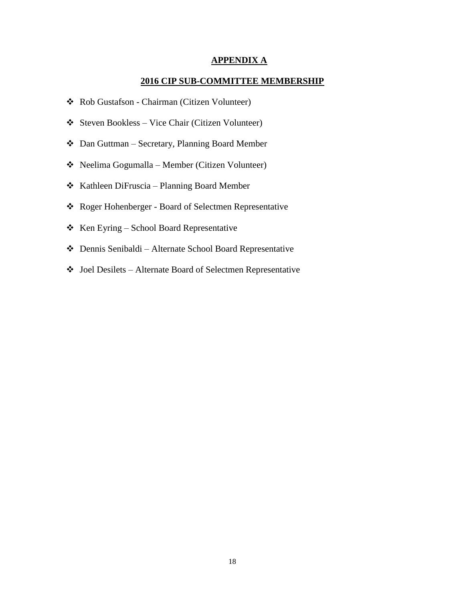# **APPENDIX A**

# **2016 CIP SUB-COMMITTEE MEMBERSHIP**

- Rob Gustafson Chairman (Citizen Volunteer)
- $\triangleleft$  Steven Bookless Vice Chair (Citizen Volunteer)
- Dan Guttman Secretary, Planning Board Member
- Neelima Gogumalla Member (Citizen Volunteer)
- Kathleen DiFruscia Planning Board Member
- Roger Hohenberger Board of Selectmen Representative
- $\triangle$  Ken Eyring School Board Representative
- Dennis Senibaldi Alternate School Board Representative
- Joel Desilets Alternate Board of Selectmen Representative